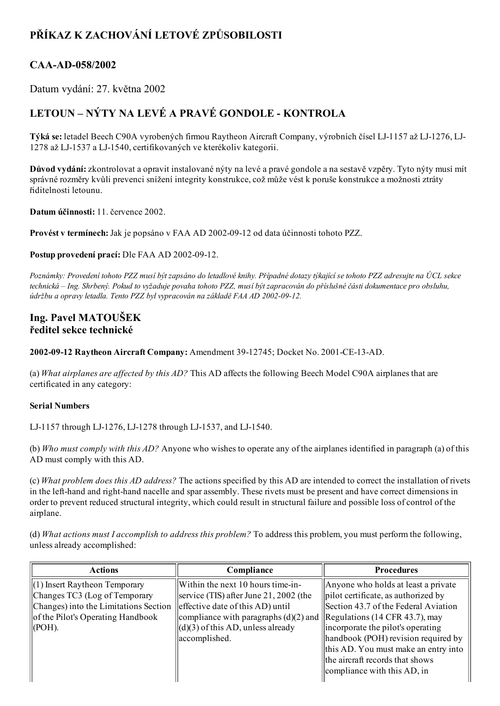# PŘÍKAZ K ZACHOVÁNÍ LETOVÉ ZPŮSOBILOSTI

### CAA-AD-058/2002

Datum vydání: 27. května 2002

## LETOUN – NÝTY NA LEVÉ A PRAVÉ GONDOLE - KONTROLA

Týká se: letadel Beech C90A vyrobených firmou Raytheon Aircraft Company, výrobních čísel LJ-1157 až LJ-1276, LJ-1278 až LJ-1537 a LJ-1540, certifikovaných ve kterékoliv kategorii.

Důvod vydání: zkontrolovat a opravit instalované nýty na levé a pravé gondole a na sestavě vzpěry. Tyto nýty musí mít správné rozměry kvůli prevenci snížení integrity konstrukce, což může vést k poruše konstrukce a možnosti ztráty řiditelnosti letounu.

Datum účinnosti: 11. července 2002.

Provést v termínech: Jak je popsáno v FAA AD 2002-09-12 od data účinnosti tohoto PZZ.

Postup provedení prací: Dle FAA AD 2002-09-12.

Poznámky: Provedení tohoto PZZ musí být zapsáno do letadlové knihy. Případné dotazy týkající se tohoto PZZ adresujte na ÚCL sekce technická – Ing. Shrbený. Pokud to vyžaduje povaha tohoto PZZ, musí být zapracován do příslušné části dokumentace pro obsluhu, údržbu a opravy letadla. Tento PZZ byl vypracován na základě FAA AD 2002-09-12.

#### Ing. Pavel MATOUŠEK ředitel sekce technické

2002-09-12 Raytheon Aircraft Company: Amendment 39-12745; Docket No. 2001-CE-13-AD.

(a) What airplanes are affected by this  $AD$ ? This AD affects the following Beech Model C90A airplanes that are certificated in any category:

#### Serial Numbers

LJ-1157 through LJ-1276, LJ-1278 through LJ-1537, and LJ-1540.

(b) Who must comply with this AD? Anyone who wishes to operate any of the airplanes identified in paragraph (a) of this AD must comply with this AD.

(c) What problem does this AD address? The actions specified by this AD are intended to correct the installation of rivets in the left-hand and right-hand nacelle and spar assembly. These rivets must be present and have correct dimensions in order to prevent reduced structural integrity, which could result in structural failure and possible loss of control of the airplane.

(d) What actions must I accomplish to address this problem? To address this problem, you must perform the following, unless already accomplished:

| Compliance                                                            | <b>Procedures</b>                    |
|-----------------------------------------------------------------------|--------------------------------------|
| Within the next 10 hours time-in-                                     | Anyone who holds at least a private  |
| service (TIS) after June 21, 2002 (the                                | pilot certificate, as authorized by  |
| effective date of this AD) until                                      | Section 43.7 of the Federal Aviation |
| compliance with paragraphs (d)(2) and  Regulations (14 CFR 43.7), may |                                      |
| $\left\  \right\ $ (d)(3) of this AD, unless already                  | incorporate the pilot's operating    |
| accomplished.                                                         | handbook (POH) revision required by  |
|                                                                       | this AD. You must make an entry into |
|                                                                       | the aircraft records that shows      |
|                                                                       | compliance with this AD, in          |
|                                                                       |                                      |